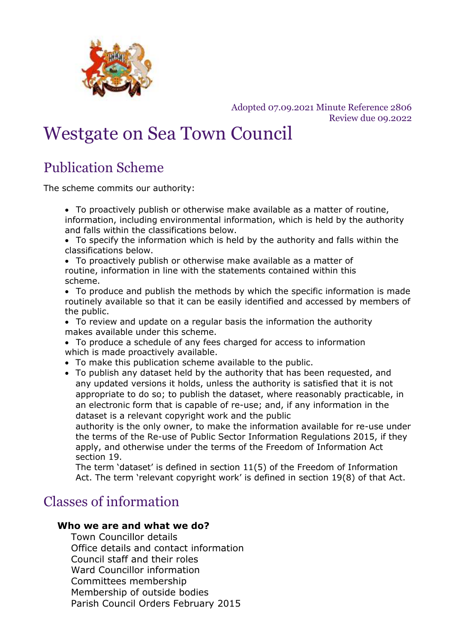

Adopted 07.09.2021 Minute Reference 2806 Review due 09.2022

# Westgate on Sea Town Council

## Publication Scheme

The scheme commits our authority:

- To proactively publish or otherwise make available as a matter of routine, information, including environmental information, which is held by the authority and falls within the classifications below.
- To specify the information which is held by the authority and falls within the classifications below.
- To proactively publish or otherwise make available as a matter of routine, information in line with the statements contained within this scheme.
- To produce and publish the methods by which the specific information is made routinely available so that it can be easily identified and accessed by members of the public.
- To review and update on a regular basis the information the authority makes available under this scheme.
- To produce a schedule of any fees charged for access to information which is made proactively available.
- To make this publication scheme available to the public.
- To publish any dataset held by the authority that has been requested, and any updated versions it holds, unless the authority is satisfied that it is not appropriate to do so; to publish the dataset, where reasonably practicable, in an electronic form that is capable of re-use; and, if any information in the dataset is a relevant copyright work and the public

authority is the only owner, to make the information available for re-use under the terms of the Re-use of Public Sector Information Regulations 2015, if they apply, and otherwise under the terms of the Freedom of Information Act section 19.

The term 'dataset' is defined in section 11(5) of the Freedom of Information Act. The term 'relevant copyright work' is defined in section 19(8) of that Act.

### Classes of information

#### **Who we are and what we do?**

Town Councillor details Office details and contact information Council staff and their roles Ward Councillor information Committees membership Membership of outside bodies Parish Council Orders February 2015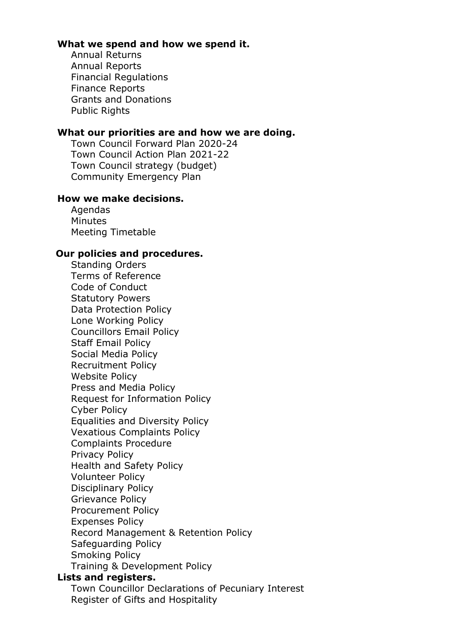#### **What we spend and how we spend it.**

Annual Returns Annual Reports Financial Regulations Finance Reports Grants and Donations Public Rights

#### **What our priorities are and how we are doing.**

Town Council Forward Plan 2020-24 Town Council Action Plan 2021-22 Town Council strategy (budget) Community Emergency Plan

#### **How we make decisions.**

Agendas **Minutes** Meeting Timetable

#### **Our policies and procedures.**

Standing Orders Terms of Reference Code of Conduct Statutory Powers Data Protection Policy Lone Working Policy Councillors Email Policy Staff Email Policy Social Media Policy Recruitment Policy Website Policy Press and Media Policy Request for Information Policy Cyber Policy Equalities and Diversity Policy Vexatious Complaints Policy Complaints Procedure Privacy Policy Health and Safety Policy Volunteer Policy Disciplinary Policy Grievance Policy Procurement Policy Expenses Policy Record Management & Retention Policy Safeguarding Policy Smoking Policy Training & Development Policy

#### **Lists and registers.**

Town Councillor Declarations of Pecuniary Interest Register of Gifts and Hospitality